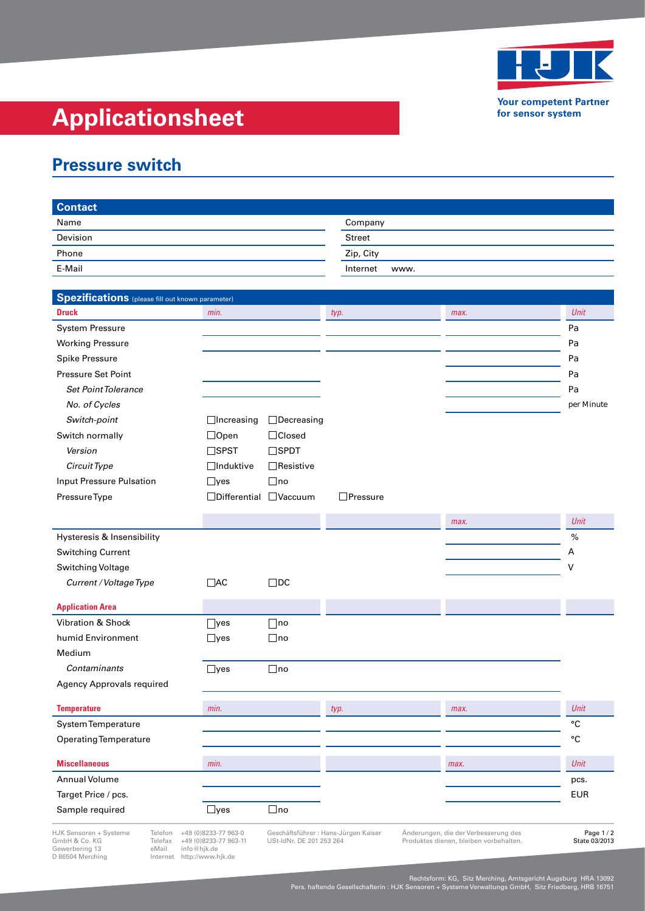

**Your competent Partner for sensor system**

## **Applicationsheet**

## **Pressure switch**

| <b>Contact</b>   |                  |
|------------------|------------------|
| Name             | Company          |
| Devision<br>____ | <b>Street</b>    |
| Phone            | Zip, City        |
| _____<br>E-Mail  | Internet<br>www. |
|                  |                  |

| Spezifications (please fill out known parameter)              |                                               |                          |                                     |                                                                                |                             |
|---------------------------------------------------------------|-----------------------------------------------|--------------------------|-------------------------------------|--------------------------------------------------------------------------------|-----------------------------|
| <b>Druck</b>                                                  | min.                                          |                          | typ.                                | max.                                                                           | Unit                        |
| <b>System Pressure</b>                                        |                                               |                          |                                     |                                                                                | Pa                          |
| <b>Working Pressure</b>                                       |                                               |                          |                                     |                                                                                | Pa                          |
| <b>Spike Pressure</b>                                         |                                               |                          |                                     |                                                                                | Pa                          |
| Pressure Set Point                                            |                                               |                          |                                     |                                                                                | Pa                          |
| <b>Set Point Tolerance</b>                                    |                                               |                          |                                     |                                                                                | Pa                          |
| No. of Cycles                                                 |                                               |                          |                                     |                                                                                | per Minute                  |
| Switch-point                                                  | $\Box$ Increasing                             | $\Box$ Decreasing        |                                     |                                                                                |                             |
| Switch normally                                               | $\Box$ Open                                   | □Closed                  |                                     |                                                                                |                             |
| Version                                                       | $\square$ SPST                                | $\square$ SPDT           |                                     |                                                                                |                             |
| Circuit Type                                                  | $\Box$ Induktive                              | $\Box$ Resistive         |                                     |                                                                                |                             |
| <b>Input Pressure Pulsation</b>                               | $\Box$ yes                                    | $\Box$ no                |                                     |                                                                                |                             |
| Pressure Type                                                 | $\Box$ Differential $\Box$ Vaccuum            |                          | $\Box$ Pressure                     |                                                                                |                             |
|                                                               |                                               |                          |                                     |                                                                                |                             |
|                                                               |                                               |                          |                                     | max.                                                                           | Unit                        |
| Hysteresis & Insensibility                                    |                                               |                          |                                     |                                                                                | %                           |
| <b>Switching Current</b>                                      |                                               |                          |                                     |                                                                                | Α                           |
| Switching Voltage                                             |                                               |                          |                                     |                                                                                | v                           |
| Current / Voltage Type                                        | $\Box$ AC                                     | $\Box$ DC                |                                     |                                                                                |                             |
| <b>Application Area</b>                                       |                                               |                          |                                     |                                                                                |                             |
| <b>Vibration &amp; Shock</b>                                  | $\lceil$ yes                                  | $\sqcap$ no              |                                     |                                                                                |                             |
| humid Environment                                             | $\Box$ yes                                    | $\Box$ no                |                                     |                                                                                |                             |
| Medium                                                        |                                               |                          |                                     |                                                                                |                             |
| Contaminants                                                  | $\sqsupset$ yes                               | $\Box$ no                |                                     |                                                                                |                             |
| Agency Approvals required                                     |                                               |                          |                                     |                                                                                |                             |
| <b>Temperature</b>                                            | min.                                          |                          |                                     | max.                                                                           | Unit                        |
| System Temperature                                            |                                               |                          | typ.                                |                                                                                | °C                          |
| Operating Temperature                                         |                                               |                          |                                     |                                                                                | °C                          |
|                                                               |                                               |                          |                                     |                                                                                |                             |
| <b>Miscellaneous</b>                                          | min.                                          |                          |                                     | max.                                                                           | Unit                        |
| Annual Volume                                                 |                                               |                          |                                     |                                                                                | pcs.                        |
| Target Price / pcs.                                           |                                               |                          |                                     |                                                                                | <b>EUR</b>                  |
| Sample required                                               | $\Box$ yes                                    | $\Box$ no                |                                     |                                                                                |                             |
| HJK Sensoren + Systeme<br>Telefon<br>GmbH & Co. KG<br>Telefax | +49 (0)8233-77 963-0<br>+49 (0)8233-77 963-11 | USt-IdNr. DE 201 253 264 | Geschäftsführer: Hans-Jürgen Kaiser | Änderungen, die der Verbesserung des<br>Produktes dienen, bleiben vorbehalten. | Page 1 / 2<br>State 03/2013 |

Gewerbering 13 eMail info@hjk.de D 86504 Merching Internet http://www.hjk.de